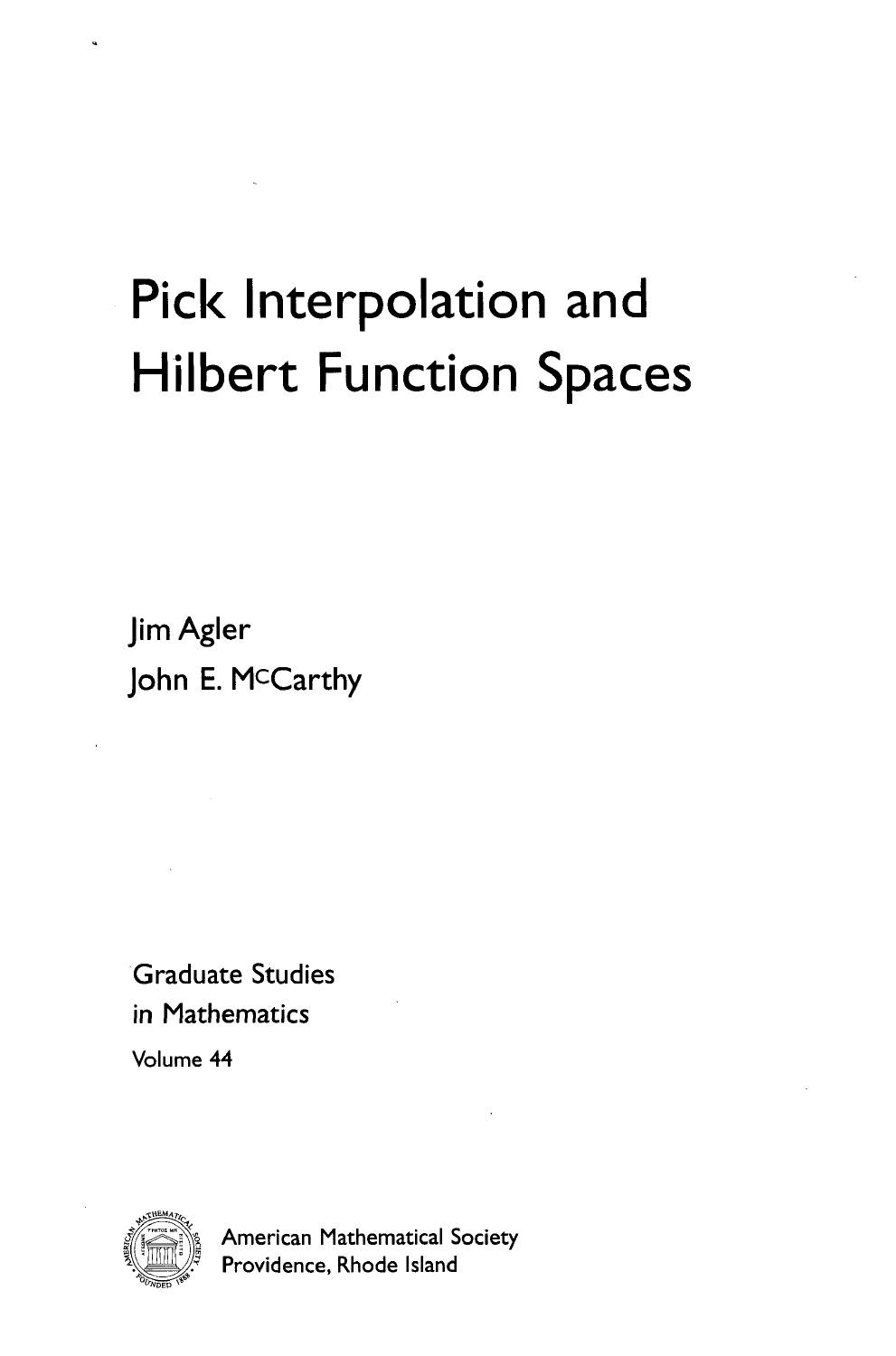## Pick Interpolation and Hilbert Function Spaces

**Jim Agler John E. McCarthy**

Graduate Studies in Mathematics

Volume 44



American Mathematical Society Providence, Rhode Island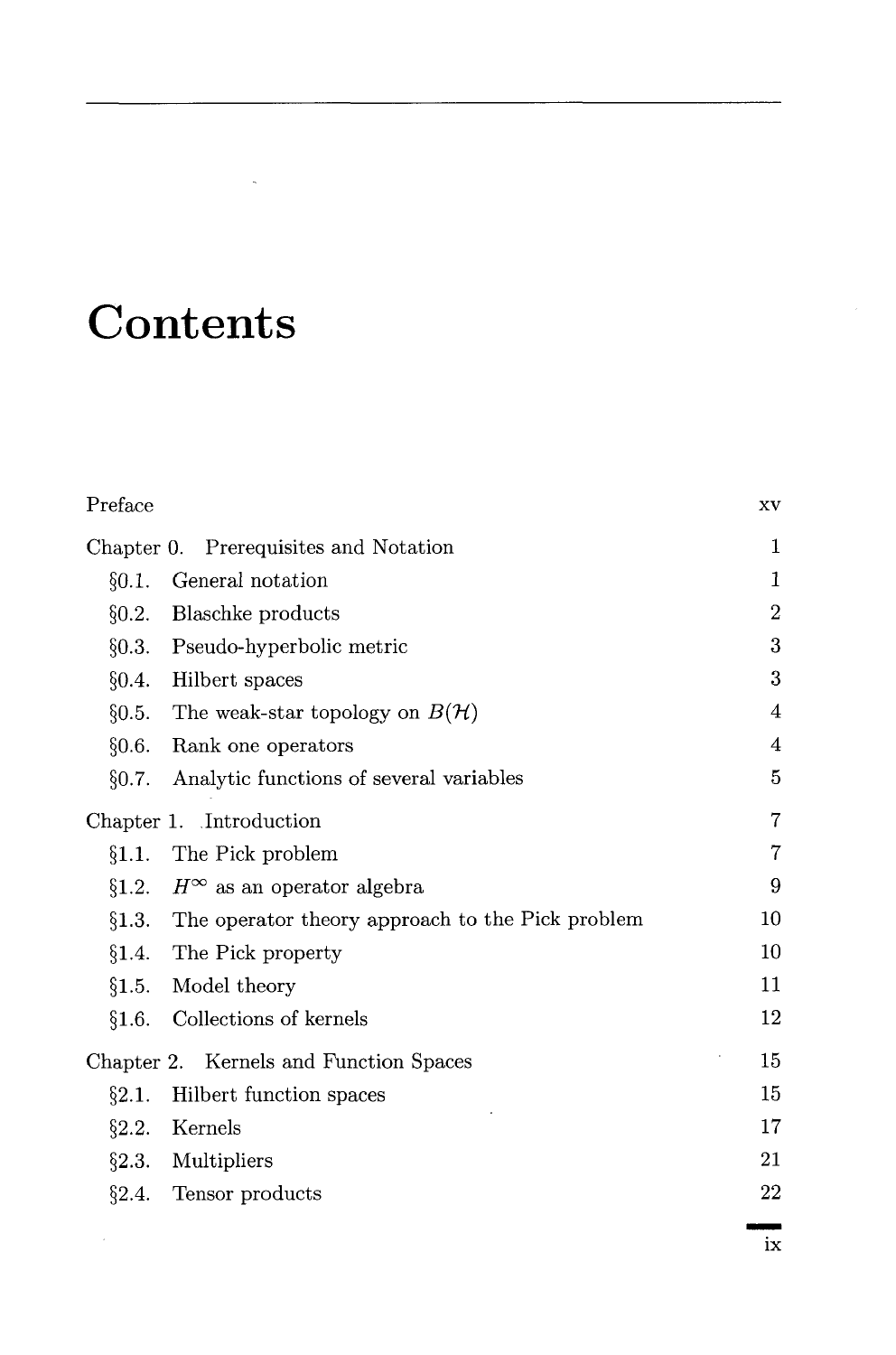## **Contents**

| Preface                                                  | <b>XV</b>               |
|----------------------------------------------------------|-------------------------|
| Chapter 0. Prerequisites and Notation                    |                         |
| General notation<br>§0.1.                                | 1                       |
| Blaschke products<br>§0.2.                               | $\overline{2}$          |
| §0.3.<br>Pseudo-hyperbolic metric                        | 3                       |
| §0.4.<br>Hilbert spaces                                  | 3                       |
| §0.5. The weak-star topology on $B(\mathcal{H})$         | 4                       |
| §0.6.<br>Rank one operators                              | $\overline{\mathbf{4}}$ |
| Analytic functions of several variables<br>§0.7.         | $\overline{5}$          |
| Chapter 1. Introduction                                  |                         |
| The Pick problem<br>§1.1.                                | $\overline{7}$          |
| $H^\infty$ as an operator algebra<br>§1.2.               | 9                       |
| $§1.3.$ The operator theory approach to the Pick problem | 10                      |
| §1.4. The Pick property                                  | $10\,$                  |
| Model theory<br>§1.5.                                    | 11                      |
| Collections of kernels<br>§1.6.                          | 12                      |
| Chapter 2. Kernels and Function Spaces                   | 15                      |
| Hilbert function spaces<br>§2.1.                         | 15                      |
| §2.2.<br>Kernels                                         | 17                      |
| Multipliers<br>§2.3.                                     | 21                      |
| $\S2.4.$ Tensor products                                 | 22                      |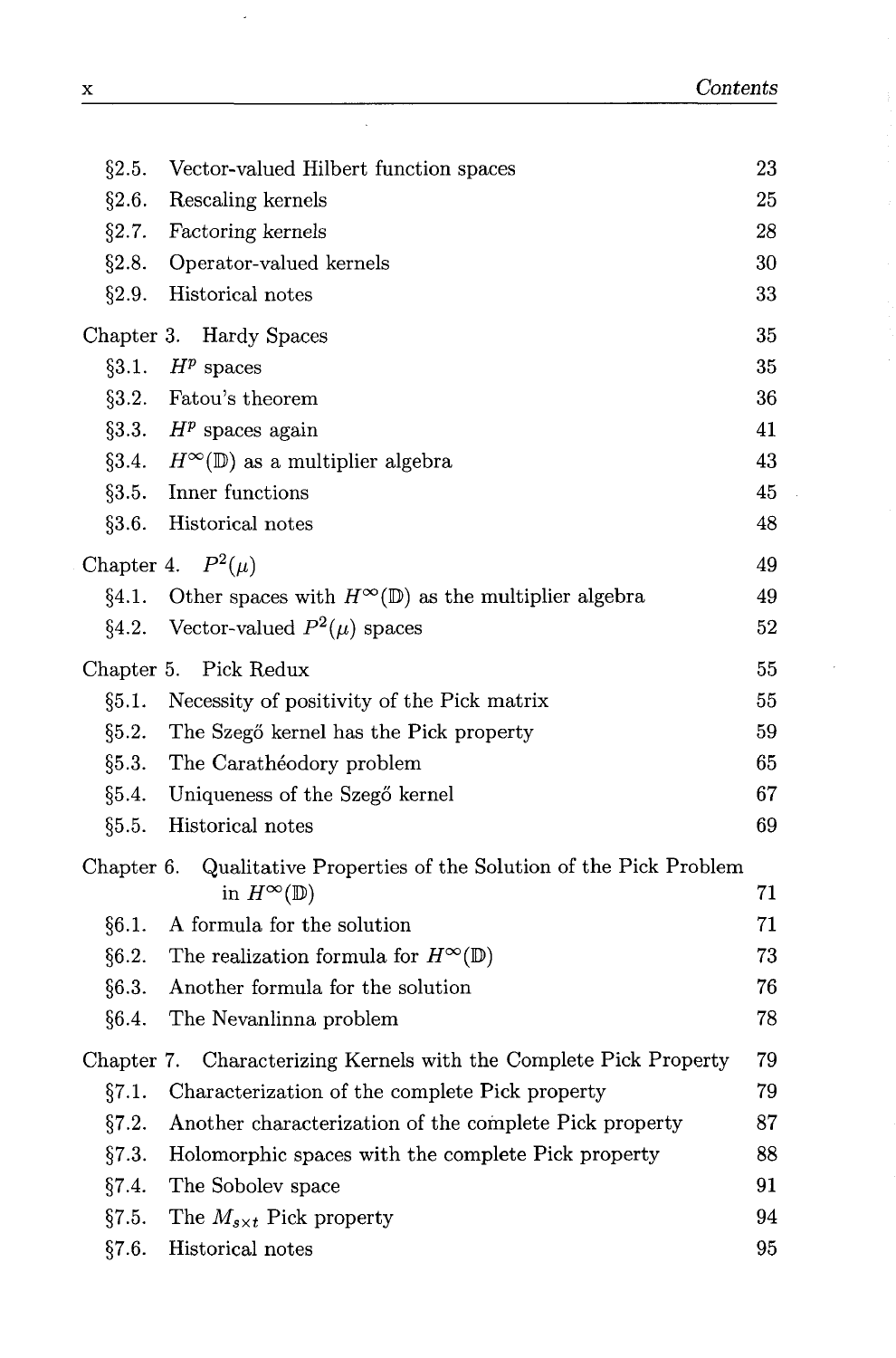| §2.5.      | Vector-valued Hilbert function spaces                                | 23 |
|------------|----------------------------------------------------------------------|----|
| §2.6.      | Rescaling kernels                                                    | 25 |
| §2.7.      | Factoring kernels                                                    | 28 |
| §2.8.      | Operator-valued kernels                                              | 30 |
| §2.9.      | Historical notes                                                     | 33 |
|            | Chapter 3. Hardy Spaces                                              | 35 |
| §3.1.      | $H^p$ spaces                                                         | 35 |
| §3.2.      | Fatou's theorem                                                      | 36 |
|            | §3.3. $H^p$ spaces again                                             | 41 |
|            | §3.4. $H^{\infty}(\mathbb{D})$ as a multiplier algebra               | 43 |
|            | §3.5. Inner functions                                                | 45 |
| §3.6.      | Historical notes                                                     | 48 |
|            | Chapter 4. $P^2(\mu)$                                                | 49 |
| §4.1.      | Other spaces with $H^{\infty}(\mathbb{D})$ as the multiplier algebra | 49 |
| §4.2.      | Vector-valued $P^2(\mu)$ spaces                                      | 52 |
| Chapter 5. | Pick Redux                                                           | 55 |
| §5.1.      | Necessity of positivity of the Pick matrix                           | 55 |
| §5.2.      | The Szegő kernel has the Pick property                               | 59 |
| §5.3.      | The Carathéodory problem                                             | 65 |
| §5.4.      | Uniqueness of the Szegő kernel                                       | 67 |
| §5.5.      | Historical notes                                                     | 69 |
| Chapter 6. | Qualitative Properties of the Solution of the Pick Problem           |    |
|            | in $H^{\infty}(\mathbb{D})$                                          | 71 |
| §6.1.      | A formula for the solution                                           | 71 |
| §6.2.      | The realization formula for $H^{\infty}(\mathbb{D})$                 | 73 |
| §6.3.      | Another formula for the solution                                     | 76 |
| §6.4.      | The Nevanlinna problem                                               | 78 |
| Chapter 7. | Characterizing Kernels with the Complete Pick Property               | 79 |
| §7.1.      | Characterization of the complete Pick property                       | 79 |
| §7.2.      | Another characterization of the complete Pick property               | 87 |
| §7.3.      | Holomorphic spaces with the complete Pick property                   | 88 |
| §7.4.      | The Sobolev space                                                    | 91 |
| §7.5.      | The $M_{s\times t}$ Pick property                                    | 94 |
| §7.6.      | Historical notes                                                     | 95 |

l,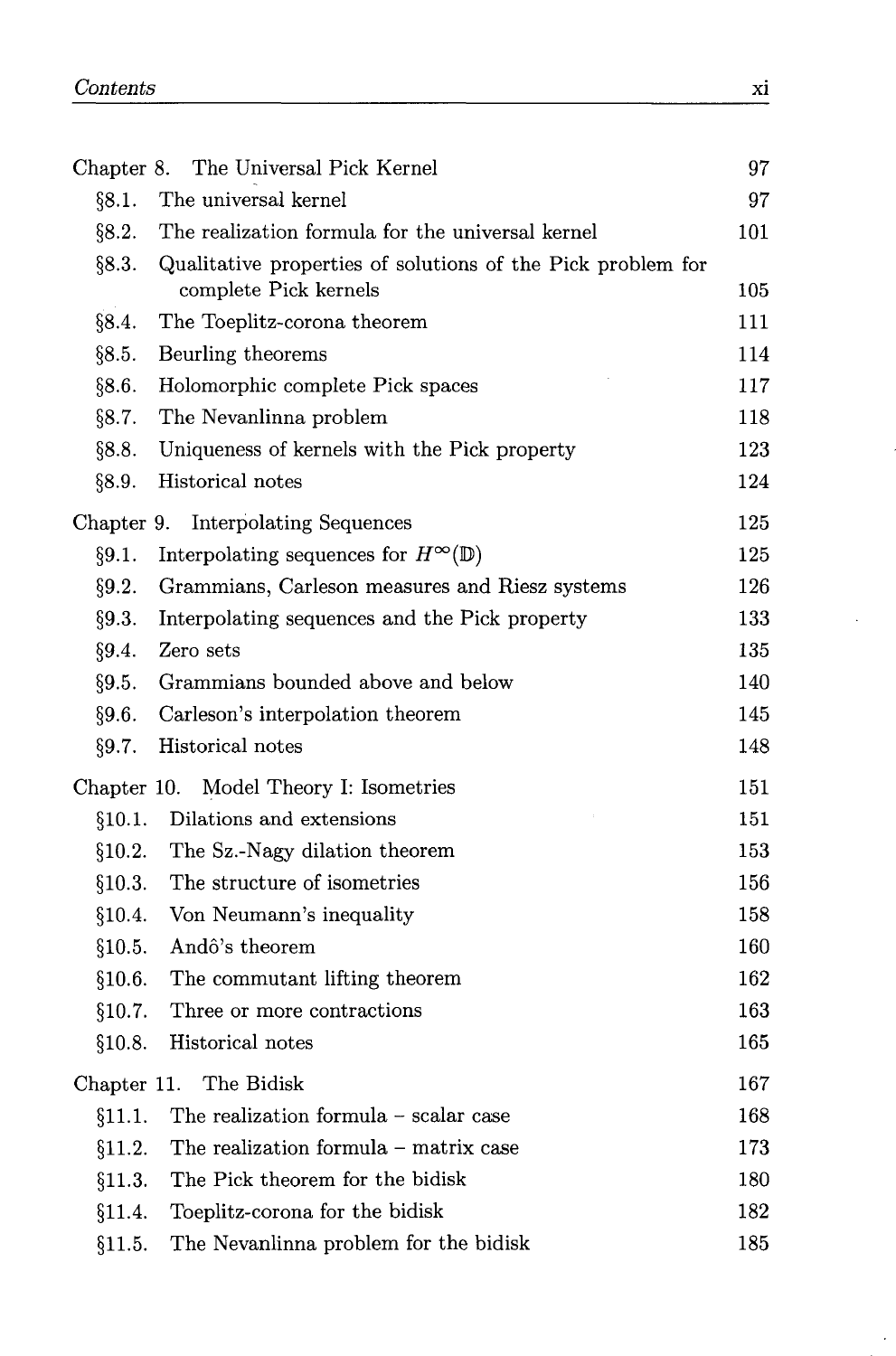|             | Chapter 8. The Universal Pick Kernel                        | 97  |
|-------------|-------------------------------------------------------------|-----|
| §8.1.       | The universal kernel                                        | 97  |
| §8.2.       | The realization formula for the universal kernel            | 101 |
| §8.3.       | Qualitative properties of solutions of the Pick problem for |     |
|             | complete Pick kernels                                       | 105 |
| §8.4.       | The Toeplitz-corona theorem                                 | 111 |
| §8.5.       | Beurling theorems                                           | 114 |
| §8.6.       | Holomorphic complete Pick spaces                            | 117 |
| §8.7.       | The Nevanlinna problem                                      | 118 |
| §8.8.       | Uniqueness of kernels with the Pick property                | 123 |
| §8.9.       | Historical notes                                            | 124 |
|             | Chapter 9. Interpolating Sequences                          | 125 |
| §9.1.       | Interpolating sequences for $H^{\infty}(\mathbb{D})$        | 125 |
| §9.2.       | Grammians, Carleson measures and Riesz systems              | 126 |
| §9.3.       | Interpolating sequences and the Pick property               | 133 |
| §9.4.       | Zero sets                                                   | 135 |
| §9.5.       | Grammians bounded above and below                           | 140 |
| §9.6.       | Carleson's interpolation theorem                            | 145 |
| §9.7.       | Historical notes                                            | 148 |
|             | Chapter 10. Model Theory I: Isometries                      | 151 |
| §10.1.      | Dilations and extensions                                    | 151 |
| §10.2.      | The Sz.-Nagy dilation theorem                               | 153 |
| §10.3.      | The structure of isometries                                 | 156 |
| §10.4.      | Von Neumann's inequality                                    | 158 |
| §10.5.      | Andô's theorem                                              | 160 |
| §10.6.      | The commutant lifting theorem                               | 162 |
| §10.7.      | Three or more contractions                                  | 163 |
| §10.8.      | Historical notes                                            | 165 |
| Chapter 11. | The Bidisk                                                  | 167 |
| §11.1.      | The realization formula – scalar case                       | 168 |
| §11.2.      | The realization formula – matrix case                       | 173 |
| §11.3.      | The Pick theorem for the bidisk                             | 180 |
| §11.4.      | Toeplitz-corona for the bidisk                              | 182 |
| §11.5.      | The Nevanlinna problem for the bidisk                       | 185 |

 $\cdot$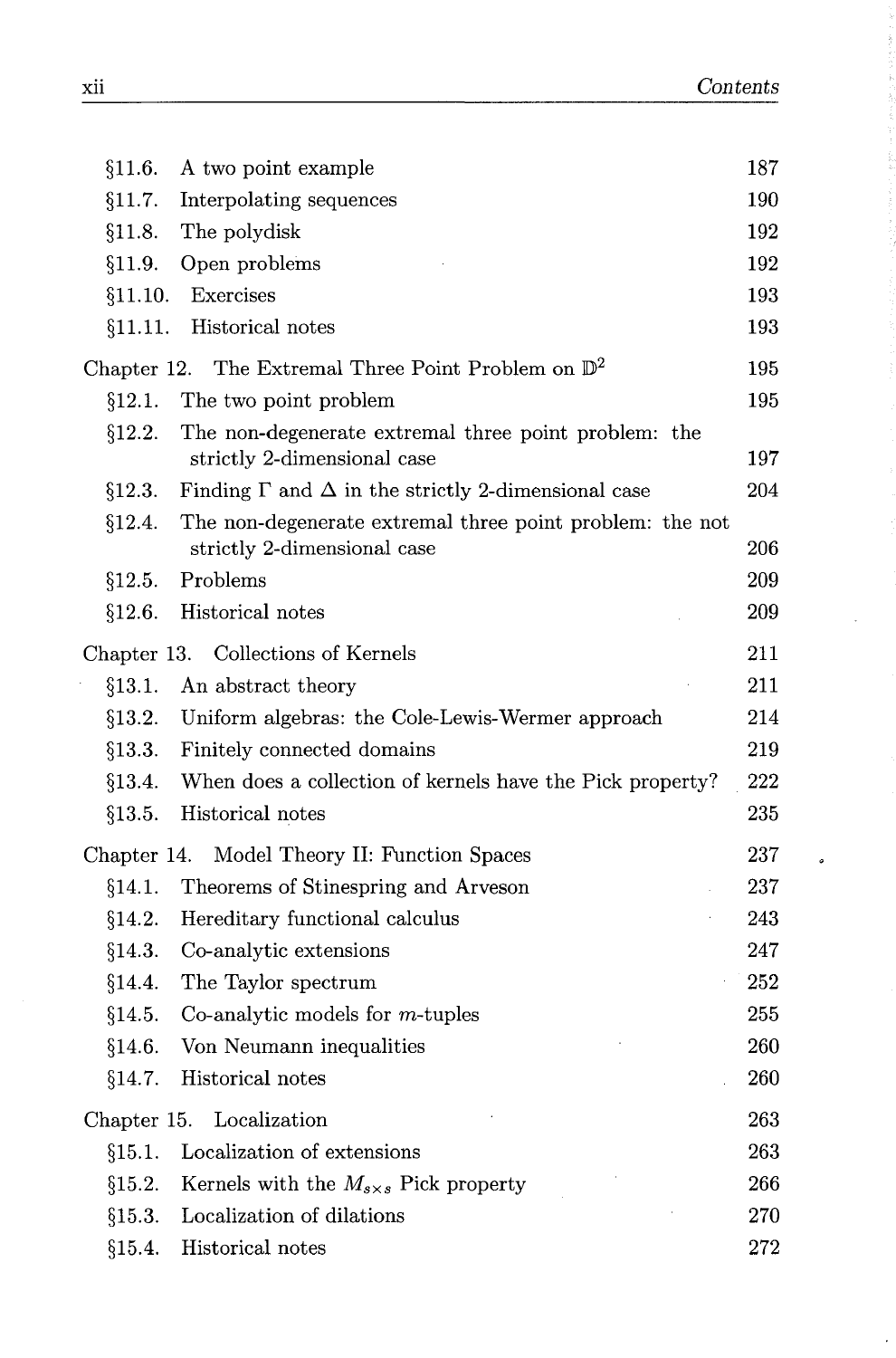**Service Service Service** 

ç, ţ.

 $\tilde{\boldsymbol{\sigma}}$ 

| §11.6.  | A two point example                                                                     | 187 |
|---------|-----------------------------------------------------------------------------------------|-----|
| §11.7.  | Interpolating sequences                                                                 | 190 |
| §11.8.  | The polydisk                                                                            | 192 |
| §11.9.  | Open problems                                                                           | 192 |
| §11.10. | Exercises                                                                               | 193 |
| §11.11. | Historical notes                                                                        | 193 |
|         | Chapter 12. The Extremal Three Point Problem on $\mathbb{D}^2$                          | 195 |
| §12.1.  | The two point problem                                                                   | 195 |
| §12.2.  | The non-degenerate extremal three point problem: the<br>strictly 2-dimensional case     | 197 |
| §12.3.  | Finding $\Gamma$ and $\Delta$ in the strictly 2-dimensional case                        | 204 |
| §12.4.  | The non-degenerate extremal three point problem: the not<br>strictly 2-dimensional case | 206 |
| §12.5.  | Problems                                                                                | 209 |
| §12.6.  | Historical notes                                                                        | 209 |
|         | Chapter 13. Collections of Kernels                                                      | 211 |
| §13.1.  | An abstract theory                                                                      | 211 |
| §13.2.  | Uniform algebras: the Cole-Lewis-Wermer approach                                        | 214 |
| §13.3.  | Finitely connected domains                                                              | 219 |
| §13.4.  | When does a collection of kernels have the Pick property?                               | 222 |
| §13.5.  | Historical notes                                                                        | 235 |
|         | Chapter 14. Model Theory II: Function Spaces                                            | 237 |
| §14.1.  | Theorems of Stinespring and Arveson                                                     | 237 |
| §14.2.  | Hereditary functional calculus                                                          | 243 |
| §14.3.  | Co-analytic extensions                                                                  | 247 |
| §14.4.  | The Taylor spectrum                                                                     | 252 |
| \$14.5. | Co-analytic models for $m$ -tuples                                                      | 255 |
| §14.6.  | Von Neumann inequalities                                                                | 260 |
| §14.7.  | Historical notes                                                                        | 260 |
|         | Chapter 15. Localization                                                                | 263 |
| §15.1.  | Localization of extensions                                                              | 263 |
| §15.2.  | Kernels with the $M_{s\times s}$ Pick property                                          | 266 |
| §15.3.  | Localization of dilations                                                               | 270 |
| §15.4.  | Historical notes                                                                        | 272 |